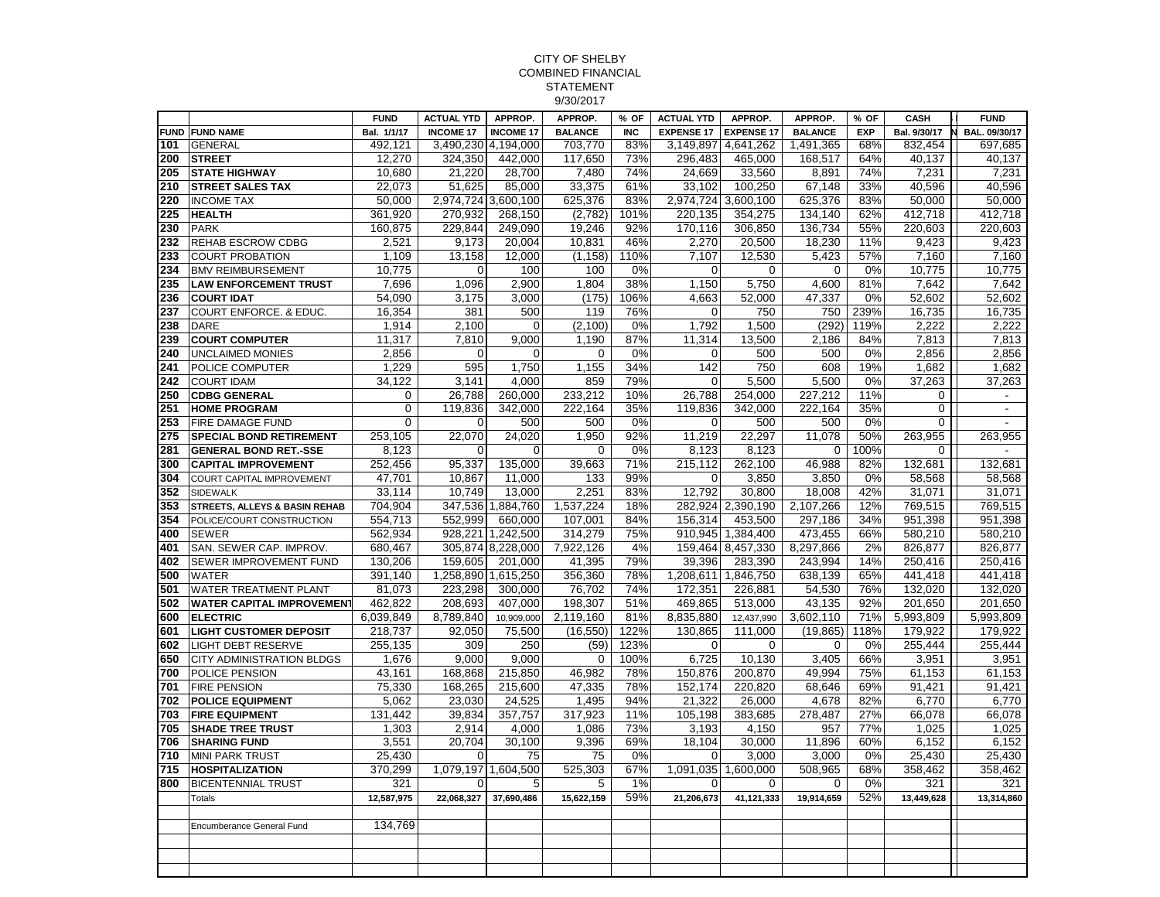## CITY OF SHELBY COMBINED FINANCIAL STATEMENT 9/30/2017

|     |                                   | <b>FUND</b> | <b>ACTUAL YTD</b>   | APPROP.           | APPROP.        | % OF       | <b>ACTUAL YTD</b> | APPROP.             | APPROP.        | % OF       | CASH         | <b>FUND</b>              |
|-----|-----------------------------------|-------------|---------------------|-------------------|----------------|------------|-------------------|---------------------|----------------|------------|--------------|--------------------------|
|     | <b>FUND FUND NAME</b>             | Bal. 1/1/17 | <b>INCOME 17</b>    | <b>INCOME 17</b>  | <b>BALANCE</b> | <b>INC</b> | <b>EXPENSE 17</b> | <b>EXPENSE 17</b>   | <b>BALANCE</b> | <b>EXP</b> | Bal. 9/30/17 | BAL. 09/30/17<br>N       |
| 101 | <b>GENERAL</b>                    | 492,121     | 3,490,230 4,194,000 |                   | 703,770        | 83%        |                   | 3,149,897 4,641,262 | 1,491,365      | 68%        | 832,454      | 697,685                  |
| 200 | <b>STREET</b>                     | 12,270      | 324,350             | 442,000           | 117,650        | 73%        | 296,483           | 465,000             | 168,517        | 64%        | 40,137       | 40,137                   |
| 205 | <b>STATE HIGHWAY</b>              | 10,680      | 21,220              | 28,700            | 7,480          | 74%        | 24,669            | 33,560              | 8,891          | 74%        | 7,231        | 7,231                    |
| 210 | <b>STREET SALES TAX</b>           | 22,073      | 51,625              | 85,000            | 33,375         | 61%        | 33,102            | 100,250             | 67,148         | 33%        | 40,596       | 40,596                   |
| 220 | <b>INCOME TAX</b>                 | 50,000      | 2,974,724 3,600,100 |                   | 625,376        | 83%        | 2,974,724         | 3,600,100           | 625,376        | 83%        | 50,000       | 50,000                   |
| 225 | <b>HEALTH</b>                     | 361,920     | 270,932             | 268,150           | (2,782)        | 101%       | 220,135           | 354,275             | 134,140        | 62%        | 412,718      | 412,718                  |
| 230 | <b>PARK</b>                       | 160,875     | 229,844             | 249,090           | 19,246         | 92%        | 170,116           | 306,850             | 136,734        | 55%        | 220,603      | 220,603                  |
| 232 | <b>REHAB ESCROW CDBG</b>          | 2,521       | 9,173               | 20,004            | 10,831         | 46%        | 2,270             | 20,500              | 18,230         | 11%        | 9,423        | 9,423                    |
| 233 | <b>COURT PROBATION</b>            | 1,109       | 13,158              | 12,000            | (1, 158)       | 110%       | 7,107             | 12,530              | 5,423          | 57%        | 7,160        | 7,160                    |
| 234 | <b>BMV REIMBURSEMENT</b>          | 10,775      | $\mathbf 0$         | 100               | 100            | 0%         | $\mathbf 0$       | 0                   | 0              | 0%         | 10,775       | 10,775                   |
| 235 | <b>LAW ENFORCEMENT TRUST</b>      | 7,696       | 1,096               | 2,900             | 1,804          | 38%        | 1,150             | 5,750               | 4,600          | 81%        | 7,642        | 7,642                    |
| 236 | <b>COURT IDAT</b>                 | 54,090      | 3,175               | 3,000             | (175)          | 106%       | 4,663             | 52,000              | 47,337         | 0%         | 52,602       | 52,602                   |
| 237 | <b>COURT ENFORCE. &amp; EDUC.</b> | 16,354      | 381                 | 500               | 119            | 76%        | 0                 | 750                 | 750            | 239%       | 16,735       | 16,735                   |
| 238 | <b>DARE</b>                       | 1,914       | 2,100               | 0                 | (2, 100)       | 0%         | 1,792             | 1,500               | (292)          | 119%       | 2,222        | 2,222                    |
| 239 | <b>COURT COMPUTER</b>             | 11,317      | 7,810               | 9.000             | 1,190          | 87%        | 11,314            | 13,500              | 2,186          | 84%        | 7,813        | 7,813                    |
| 240 | <b>UNCLAIMED MONIES</b>           | 2,856       | $\mathbf 0$         | 0                 | $\mathbf 0$    | 0%         | $\Omega$          | 500                 | 500            | 0%         | 2,856        | 2,856                    |
| 241 | POLICE COMPUTER                   | 1,229       | 595                 | 1,750             | 1,155          | 34%        | 142               | 750                 | 608            | 19%        | 1,682        | 1,682                    |
| 242 | <b>COURT IDAM</b>                 | 34,122      | 3,141               | 4.000             | 859            | 79%        | $\Omega$          | 5,500               | 5,500          | 0%         | 37,263       | 37,263                   |
| 250 | <b>CDBG GENERAL</b>               | 0           | 26,788              | 260,000           | 233,212        | 10%        | 26,788            | 254,000             | 227,212        | 11%        | $\Omega$     | $\overline{a}$           |
| 251 | <b>HOME PROGRAM</b>               | 0           | 119.836             | 342,000           | 222,164        | 35%        | 119.836           | 342,000             | 222,164        | 35%        | $\mathbf 0$  | $\overline{\phantom{a}}$ |
| 253 | FIRE DAMAGE FUND                  | 0           | $\mathbf 0$         | 500               | 500            | 0%         | $\overline{0}$    | 500                 | 500            | 0%         | $\mathbf 0$  | $\sim$                   |
| 275 | <b>SPECIAL BOND RETIREMENT</b>    | 253,105     | 22,070              | 24,020            | 1,950          | 92%        | 11,219            | 22,297              | 11,078         | 50%        | 263,955      | 263,955                  |
| 281 | <b>GENERAL BOND RET.-SSE</b>      | 8,123       | $\Omega$            | $\Omega$          | $\mathbf 0$    | 0%         | 8,123             | 8,123               | 0              | 100%       | $\mathbf 0$  | $\overline{a}$           |
| 300 | <b>CAPITAL IMPROVEMENT</b>        | 252,456     | 95,337              | 135,000           | 39,663         | 71%        | 215,112           | 262,100             | 46,988         | 82%        | 132,681      | 132,681                  |
| 304 | <b>COURT CAPITAL IMPROVEMENT</b>  | 47.701      | 10,867              | 11,000            | 133            | 99%        | $\Omega$          | 3,850               | 3,850          | 0%         | 58,568       | 58.568                   |
| 352 | <b>SIDEWALK</b>                   | 33,114      | 10,749              | 13,000            | 2,251          | 83%        | 12,792            | 30,800              | 18,008         | 42%        | 31,071       | 31,071                   |
| 353 | STREETS, ALLEYS & BASIN REHAB     | 704.904     |                     | 347,536 1,884,760 | 1,537,224      | 18%        |                   | 282.924 2.390.190   | 2,107,266      | 12%        | 769,515      | 769,515                  |
| 354 | POLICE/COURT CONSTRUCTION         | 554,713     | 552,999             | 660,000           | 107,001        | 84%        | 156,314           | 453,500             | 297,186        | 34%        | 951,398      | 951,398                  |
| 400 | <b>SEWER</b>                      | 562,934     | 928,221             | 1,242,500         | 314,279        | 75%        | 910,945           | 1,384,400           | 473,455        | 66%        | 580,210      | 580,210                  |
| 401 | SAN. SEWER CAP. IMPROV.           | 680,467     |                     | 305,874 8,228,000 | 7,922,126      | 4%         |                   | 159,464 8,457,330   | 8,297,866      | 2%         | 826,877      | 826,877                  |
| 402 | SEWER IMPROVEMENT FUND            | 130,206     | 159,605             | 201,000           | 41,395         | 79%        | 39,396            | 283,390             | 243,994        | 14%        | 250,416      | 250,416                  |
| 500 | <b>WATER</b>                      | 391.140     | 1,258,890 1,615,250 |                   | 356,360        | 78%        | 1,208,611         | 1,846,750           | 638,139        | 65%        | 441,418      | 441,418                  |
| 501 | <b>WATER TREATMENT PLANT</b>      | 81,073      | 223,298             | 300,000           | 76,702         | 74%        | 172,351           | 226,881             | 54,530         | 76%        | 132,020      | 132,020                  |
| 502 | <b>WATER CAPITAL IMPROVEMENT</b>  | 462,822     | 208,693             | 407,000           | 198,307        | 51%        | 469,865           | 513,000             | 43,135         | 92%        | 201,650      | 201,650                  |
| 600 | <b>ELECTRIC</b>                   | 6,039,849   | 8,789,840           | 10,909,000        | 2,119,160      | 81%        | 8,835,880         | 12,437,990          | 3,602,110      | 71%        | 5,993,809    | 5,993,809                |
| 601 | <b>LIGHT CUSTOMER DEPOSIT</b>     | 218,737     | 92,050              | 75,500            | (16, 550)      | 122%       | 130,865           | 111,000             | (19, 865)      | 118%       | 179,922      | 179,922                  |
| 602 | <b>LIGHT DEBT RESERVE</b>         | 255,135     | 309                 | 250               | (59)           | 123%       | $\Omega$          | $\mathbf 0$         | $\Omega$       | 0%         | 255,444      | 255,444                  |
| 650 | <b>CITY ADMINISTRATION BLDGS</b>  | 1,676       | 9,000               | 9,000             | $\mathbf 0$    | 100%       | 6,725             | 10,130              | 3,405          | 66%        | 3,951        | 3,951                    |
| 700 | POLICE PENSION                    | 43.161      | 168.868             | 215,850           | 46.982         | 78%        | 150.876           | 200.870             | 49.994         | 75%        | 61,153       | 61.153                   |
| 701 | <b>FIRE PENSION</b>               | 75,330      | 168,265             | 215,600           | 47,335         | 78%        | 152.174           | 220,820             | 68,646         | 69%        | 91,421       | 91,421                   |
| 702 | <b>POLICE EQUIPMENT</b>           | 5,062       | 23,030              | 24,525            | 1,495          | 94%        | 21,322            | 26,000              | 4,678          | 82%        | 6,770        | 6,770                    |
| 703 | <b>FIRE EQUIPMENT</b>             | 131,442     | 39,834              | 357,757           | 317,923        | 11%        | 105,198           | 383,685             | 278,487        | 27%        | 66,078       | 66.078                   |
| 705 | <b>SHADE TREE TRUST</b>           | 1,303       | 2,914               | 4,000             | 1,086          | 73%        | 3,193             | 4,150               | 957            | 77%        | 1,025        | 1,025                    |
| 706 | <b>SHARING FUND</b>               | 3,551       | 20,704              | 30,100            | 9,396          | 69%        | 18,104            | 30,000              | 11,896         | 60%        | 6,152        | 6,152                    |
| 710 | <b>MINI PARK TRUST</b>            | 25,430      | $\mathbf 0$         | 75                | 75             | 0%         | 0                 | 3,000               | 3,000          | 0%         | 25,430       | 25,430                   |
| 715 | <b>HOSPITALIZATION</b>            | 370,299     | 1,079,197           | 1,604,500         | 525,303        | 67%        | 1,091,035         | 1,600,000           | 508,965        | 68%        | 358,462      | 358,462                  |
| 800 | <b>BICENTENNIAL TRUST</b>         | 321         | $\Omega$            | 5                 | 5              | 1%         | $\Omega$          | $\mathbf 0$         | $\Omega$       | 0%         | 321          | 321                      |
|     | <b>Totals</b>                     | 12,587,975  | 22,068,327          | 37,690,486        | 15,622,159     | 59%        | 21,206,673        | 41,121,333          | 19,914,659     | 52%        | 13,449,628   | 13,314,860               |
|     |                                   |             |                     |                   |                |            |                   |                     |                |            |              |                          |
|     | <b>Encumberance General Fund</b>  | 134,769     |                     |                   |                |            |                   |                     |                |            |              |                          |
|     |                                   |             |                     |                   |                |            |                   |                     |                |            |              |                          |
|     |                                   |             |                     |                   |                |            |                   |                     |                |            |              |                          |
|     |                                   |             |                     |                   |                |            |                   |                     |                |            |              |                          |